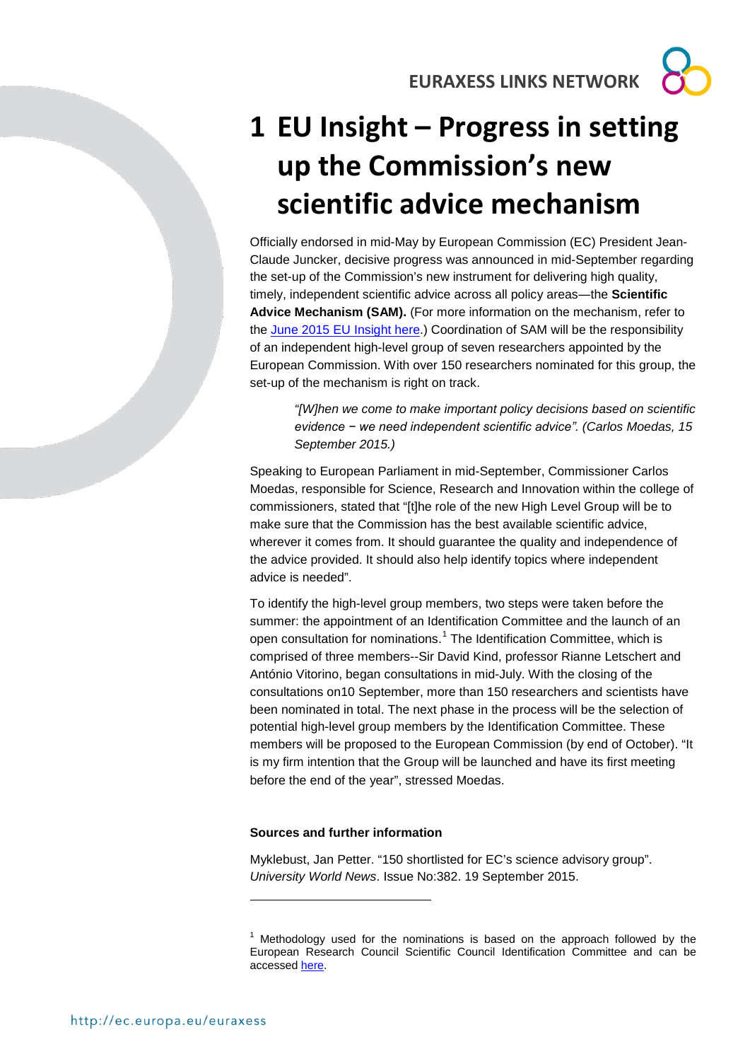**EURAXESS LINKS NETWORK**

## **1 EU Insight – Progress in setting up the Commission's new scientific advice mechanism**

Officially endorsed in mid-May by European Commission (EC) President Jean-Claude Juncker, decisive progress was announced in mid-September regarding the set-up of the Commission's new instrument for delivering high quality, timely, independent scientific advice across all policy areas―the **Scientific Advice Mechanism (SAM).** (For more information on the mechanism, refer to the [June 2015 EU Insight here.](http://ec.europa.eu/euraxess/data/links/brazil/docs/EU%20Insight_June%202015%20-%20Scientific%20Advice%20Mechanism.pdf)) Coordination of SAM will be the responsibility of an independent high-level group of seven researchers appointed by the European Commission. With over 150 researchers nominated for this group, the set-up of the mechanism is right on track.

> *"[W]hen we come to make important policy decisions based on scientific evidence − we need independent scientific advice". (Carlos Moedas, 15 September 2015.)*

Speaking to European Parliament in mid-September, Commissioner Carlos Moedas, responsible for Science, Research and Innovation within the college of commissioners, stated that "[t]he role of the new High Level Group will be to make sure that the Commission has the best available scientific advice, wherever it comes from. It should guarantee the quality and independence of the advice provided. It should also help identify topics where independent advice is needed".

To identify the high-level group members, two steps were taken before the summer: the appointment of an Identification Committee and the launch of an open consultation for nominations.<sup>[1](#page-0-0)</sup> The Identification Committee, which is comprised of three members--Sir David Kind, professor Rianne Letschert and António Vitorino, began consultations in mid-July. With the closing of the consultations on10 September, more than 150 researchers and scientists have been nominated in total. The next phase in the process will be the selection of potential high-level group members by the Identification Committee. These members will be proposed to the European Commission (by end of October). "It is my firm intention that the Group will be launched and have its first meeting before the end of the year", stressed Moedas.

## **Sources and further information**

-

Myklebust, Jan Petter. "150 shortlisted for EC's science advisory group". *University World News*. Issue No:382. 19 September 2015.

<span id="page-0-0"></span> $1$  Methodology used for the nominations is based on the approach followed by the European Research Council Scientific Council Identification Committee and can be accessed [here.](http://ec.europa.eu/research/sam/pdf/sam_ic_statement_of_methodology.pdf)